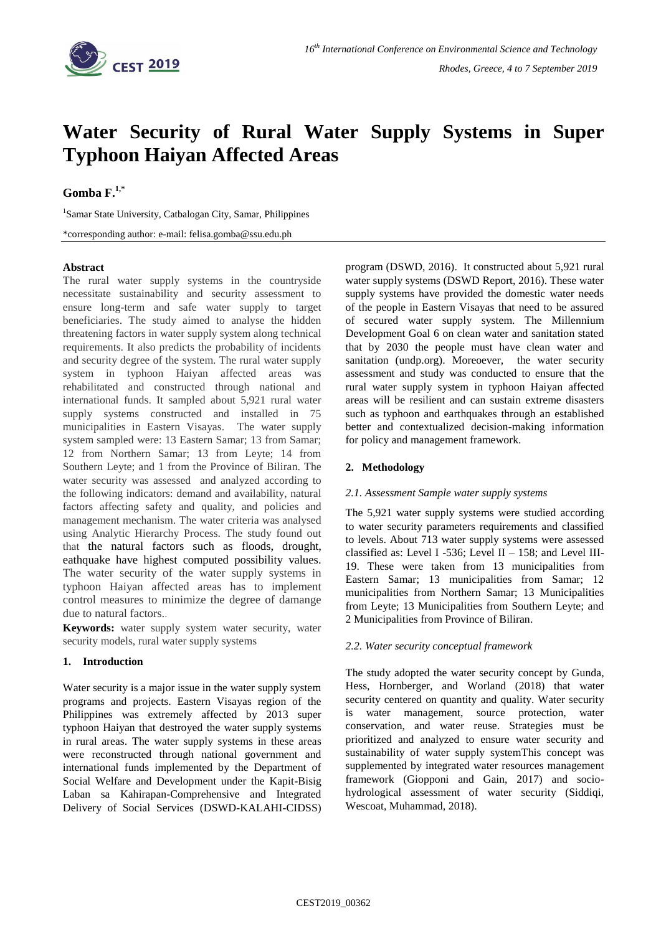

# **Water Security of Rural Water Supply Systems in Super Typhoon Haiyan Affected Areas**

## **Gomba F. 1,\***

<sup>1</sup>Samar State University, Catbalogan City, Samar, Philippines

\*corresponding author: e-mail: felisa.gomba@ssu.edu.ph

## **Abstract**

The rural water supply systems in the countryside necessitate sustainability and security assessment to ensure long-term and safe water supply to target beneficiaries. The study aimed to analyse the hidden threatening factors in water supply system along technical requirements. It also predicts the probability of incidents and security degree of the system. The rural water supply system in typhoon Haiyan affected areas was rehabilitated and constructed through national and international funds. It sampled about 5,921 rural water supply systems constructed and installed in 75 municipalities in Eastern Visayas. The water supply system sampled were: 13 Eastern Samar; 13 from Samar; 12 from Northern Samar; 13 from Leyte; 14 from Southern Leyte; and 1 from the Province of Biliran. The water security was assessed and analyzed according to the following indicators: demand and availability, natural factors affecting safety and quality, and policies and management mechanism. The water criteria was analysed using Analytic Hierarchy Process. The study found out that the natural factors such as floods, drought, eathquake have highest computed possibility values. The water security of the water supply systems in typhoon Haiyan affected areas has to implement control measures to minimize the degree of damange due to natural factors..

**Keywords:** water supply system water security, water security models, rural water supply systems

## **1. Introduction**

Water security is a major issue in the water supply system programs and projects. Eastern Visayas region of the Philippines was extremely affected by 2013 super typhoon Haiyan that destroyed the water supply systems in rural areas. The water supply systems in these areas were reconstructed through national government and international funds implemented by the Department of Social Welfare and Development under the Kapit-Bisig Laban sa Kahirapan-Comprehensive and Integrated Delivery of Social Services (DSWD-KALAHI-CIDSS) program (DSWD, 2016). It constructed about 5,921 rural water supply systems (DSWD Report, 2016). These water supply systems have provided the domestic water needs of the people in Eastern Visayas that need to be assured of secured water supply system. The Millennium Development Goal 6 on clean water and sanitation stated that by 2030 the people must have clean water and sanitation (undp.org). Moreoever, the water security assessment and study was conducted to ensure that the rural water supply system in typhoon Haiyan affected areas will be resilient and can sustain extreme disasters such as typhoon and earthquakes through an established better and contextualized decision-making information for policy and management framework.

## **2. Methodology**

### *2.1. Assessment Sample water supply systems*

The 5,921 water supply systems were studied according to water security parameters requirements and classified to levels. About 713 water supply systems were assessed classified as: Level I -536; Level II - 158; and Level III-19. These were taken from 13 municipalities from Eastern Samar; 13 municipalities from Samar; 12 municipalities from Northern Samar; 13 Municipalities from Leyte; 13 Municipalities from Southern Leyte; and 2 Municipalities from Province of Biliran.

## *2.2. Water security conceptual framework*

The study adopted the water security concept by Gunda, Hess, Hornberger, and Worland (2018) that water security centered on quantity and quality. Water security is water management, source protection, water conservation, and water reuse. Strategies must be prioritized and analyzed to ensure water security and sustainability of water supply systemThis concept was supplemented by integrated water resources management framework (Giopponi and Gain, 2017) and sociohydrological assessment of water security (Siddiqi, Wescoat, Muhammad, 2018).